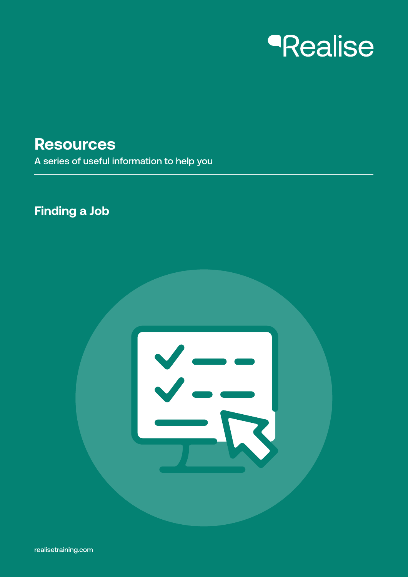# *<u>Realise</u>*

**Resources**

A series of useful information to help you

### **Finding a Job**

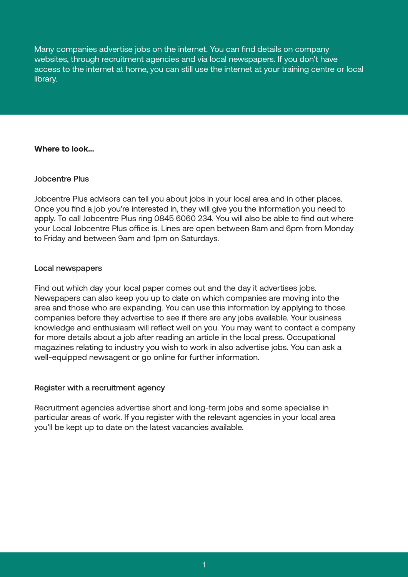Many companies advertise jobs on the internet. You can find details on company websites, through recruitment agencies and via local newspapers. If you don't have access to the internet at home, you can still use the internet at your training centre or local library.

#### **Where to look...**

#### Jobcentre Plus

Jobcentre Plus advisors can tell you about jobs in your local area and in other places. Once you find a job you're interested in, they will give you the information you need to apply. To call Jobcentre Plus ring 0845 6060 234. You will also be able to find out where your Local Jobcentre Plus office is. Lines are open between 8am and 6pm from Monday to Friday and between 9am and 1pm on Saturdays.

#### Local newspapers

Find out which day your local paper comes out and the day it advertises jobs. Newspapers can also keep you up to date on which companies are moving into the area and those who are expanding. You can use this information by applying to those companies before they advertise to see if there are any jobs available. Your business knowledge and enthusiasm will reflect well on you. You may want to contact a company for more details about a job after reading an article in the local press. Occupational magazines relating to industry you wish to work in also advertise jobs. You can ask a well-equipped newsagent or go online for further information.

#### Register with a recruitment agency

Recruitment agencies advertise short and long-term jobs and some specialise in particular areas of work. If you register with the relevant agencies in your local area you'll be kept up to date on the latest vacancies available.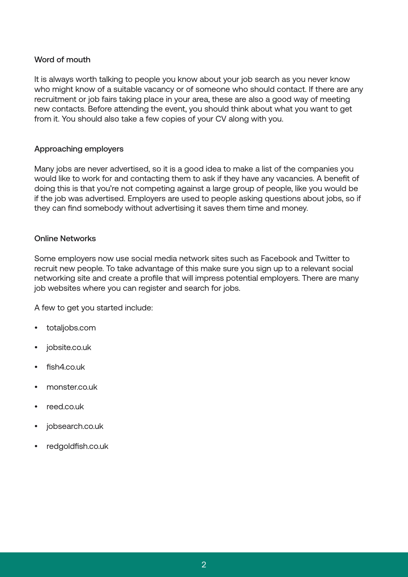#### Word of mouth

It is always worth talking to people you know about your job search as you never know who might know of a suitable vacancy or of someone who should contact. If there are any recruitment or job fairs taking place in your area, these are also a good way of meeting new contacts. Before attending the event, you should think about what you want to get from it. You should also take a few copies of your CV along with you.

#### Approaching employers

Many jobs are never advertised, so it is a good idea to make a list of the companies you would like to work for and contacting them to ask if they have any vacancies. A benefit of doing this is that you're not competing against a large group of people, like you would be if the job was advertised. Employers are used to people asking questions about jobs, so if they can find somebody without advertising it saves them time and money.

#### Online Networks

Some employers now use social media network sites such as Facebook and Twitter to recruit new people. To take advantage of this make sure you sign up to a relevant social networking site and create a profile that will impress potential employers. There are many job websites where you can register and search for jobs.

A few to get you started include:

- totaljobs.com
- jobsite.co.uk
- fish4.co.uk
- monster.co.uk
- reed.co.uk
- jobsearch.co.uk
- redgoldfish.co.uk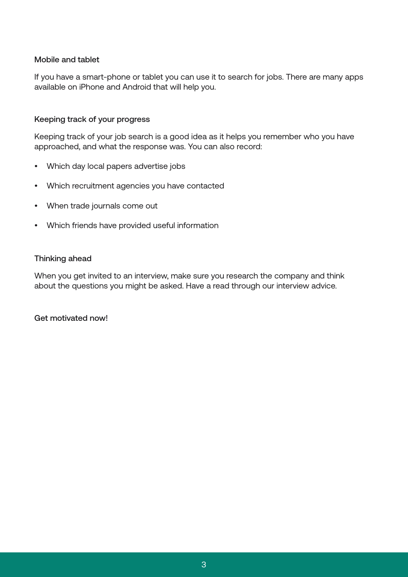#### Mobile and tablet

If you have a smart-phone or tablet you can use it to search for jobs. There are many apps available on iPhone and Android that will help you.

#### Keeping track of your progress

Keeping track of your job search is a good idea as it helps you remember who you have approached, and what the response was. You can also record:

- Which day local papers advertise jobs
- Which recruitment agencies you have contacted
- When trade journals come out
- Which friends have provided useful information

#### Thinking ahead

When you get invited to an interview, make sure you research the company and think about the questions you might be asked. Have a read through our interview advice.

Get motivated now!